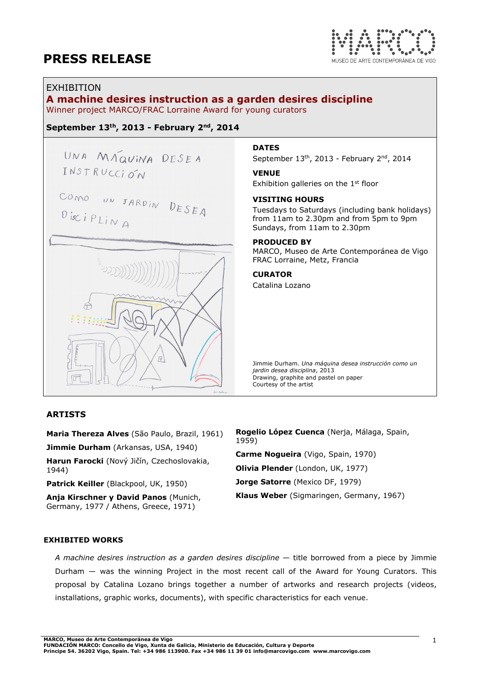

## EXHIBITION

# A machine desires instruction as a garden desires discipline

Winner project MARCO/FRAC Lorraine Award for young curators

## September 13th, 2013 - February 2nd, 2014

UNA MAQUINA DESEA INSTRUCCION

COMO UN JARDIN DESEA  $Dis᠊$ is $C$ i $PLi$ <sub>A</sub>



# **DATES**

September 13<sup>th</sup>, 2013 - February 2<sup>nd</sup>, 2014

#### VENUE

Exhibition galleries on the 1<sup>st</sup> floor

### VISITING HOURS

Tuesdays to Saturdays (including bank holidays) from 11am to 2.30pm and from 5pm to 9pm Sundays, from 11am to 2.30pm

#### PRODUCED BY

MARCO, Museo de Arte Contemporánea de Vigo FRAC Lorraine, Metz, Francia

# CURATOR

Catalina Lozano

Jimmie Durham. Una máquina desea instrucción como un jardin desea disciplina, 2013 Drawing, graphite and pastel on paper Courtesy of the artist

### ARTISTS

Maria Thereza Alves (São Paulo, Brazil, 1961) Jimmie Durham (Arkansas, USA, 1940)

Harun Farocki (Nový Jičín, Czechoslovakia, 1944)

Patrick Keiller (Blackpool, UK, 1950)

Anja Kirschner y David Panos (Munich, Germany, 1977 / Athens, Greece, 1971)

Rogelio López Cuenca (Nerja, Málaga, Spain, 1959)

Carme Nogueira (Vigo, Spain, 1970) Olivia Plender (London, UK, 1977) Jorge Satorre (Mexico DF, 1979) Klaus Weber (Sigmaringen, Germany, 1967)

### EXHIBITED WORKS

A machine desires instruction as a garden desires discipline  $-$  title borrowed from a piece by Jimmie Durham — was the winning Project in the most recent call of the Award for Young Curators. This proposal by Catalina Lozano brings together a number of artworks and research projects (videos, installations, graphic works, documents), with specific characteristics for each venue.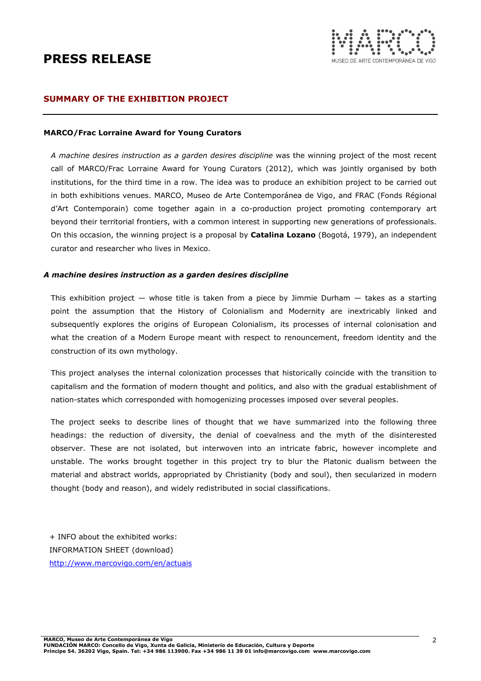

## SUMMARY OF THE EXHIBITION PROJECT

#### MARCO/Frac Lorraine Award for Young Curators

A machine desires instruction as a garden desires discipline was the winning project of the most recent call of MARCO/Frac Lorraine Award for Young Curators (2012), which was jointly organised by both institutions, for the third time in a row. The idea was to produce an exhibition project to be carried out in both exhibitions venues. MARCO, Museo de Arte Contemporánea de Vigo, and FRAC (Fonds Régional d'Art Contemporain) come together again in a co-production project promoting contemporary art beyond their territorial frontiers, with a common interest in supporting new generations of professionals. On this occasion, the winning project is a proposal by **Catalina Lozano** (Bogotá, 1979), an independent curator and researcher who lives in Mexico.

#### A machine desires instruction as a garden desires discipline

This exhibition project  $-$  whose title is taken from a piece by Jimmie Durham  $-$  takes as a starting point the assumption that the History of Colonialism and Modernity are inextricably linked and subsequently explores the origins of European Colonialism, its processes of internal colonisation and what the creation of a Modern Europe meant with respect to renouncement, freedom identity and the construction of its own mythology.

This project analyses the internal colonization processes that historically coincide with the transition to capitalism and the formation of modern thought and politics, and also with the gradual establishment of nation-states which corresponded with homogenizing processes imposed over several peoples.

The project seeks to describe lines of thought that we have summarized into the following three headings: the reduction of diversity, the denial of coevalness and the myth of the disinterested observer. These are not isolated, but interwoven into an intricate fabric, however incomplete and unstable. The works brought together in this project try to blur the Platonic dualism between the material and abstract worlds, appropriated by Christianity (body and soul), then secularized in modern thought (body and reason), and widely redistributed in social classifications.

+ INFO about the exhibited works: INFORMATION SHEET (download) http://www.marcovigo.com/en/actuais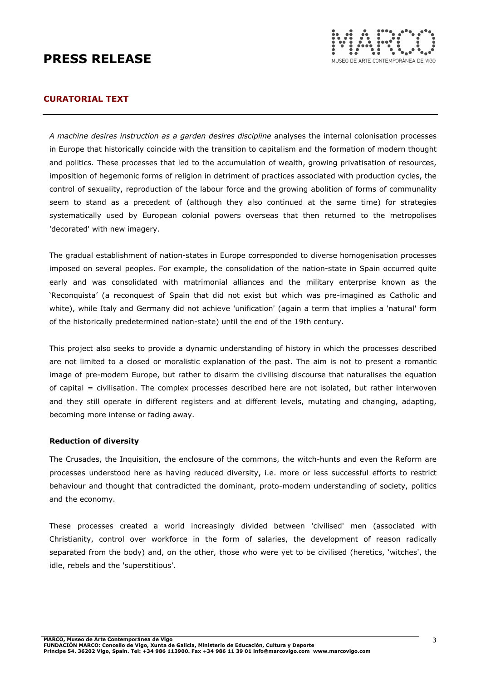

# CURATORIAL TEXT

A machine desires instruction as a garden desires discipline analyses the internal colonisation processes in Europe that historically coincide with the transition to capitalism and the formation of modern thought and politics. These processes that led to the accumulation of wealth, growing privatisation of resources, imposition of hegemonic forms of religion in detriment of practices associated with production cycles, the control of sexuality, reproduction of the labour force and the growing abolition of forms of communality seem to stand as a precedent of (although they also continued at the same time) for strategies systematically used by European colonial powers overseas that then returned to the metropolises 'decorated' with new imagery.

The gradual establishment of nation-states in Europe corresponded to diverse homogenisation processes imposed on several peoples. For example, the consolidation of the nation-state in Spain occurred quite early and was consolidated with matrimonial alliances and the military enterprise known as the 'Reconquista' (a reconquest of Spain that did not exist but which was pre-imagined as Catholic and white), while Italy and Germany did not achieve 'unification' (again a term that implies a 'natural' form of the historically predetermined nation-state) until the end of the 19th century.

This project also seeks to provide a dynamic understanding of history in which the processes described are not limited to a closed or moralistic explanation of the past. The aim is not to present a romantic image of pre-modern Europe, but rather to disarm the civilising discourse that naturalises the equation of capital = civilisation. The complex processes described here are not isolated, but rather interwoven and they still operate in different registers and at different levels, mutating and changing, adapting, becoming more intense or fading away.

### Reduction of diversity

The Crusades, the Inquisition, the enclosure of the commons, the witch-hunts and even the Reform are processes understood here as having reduced diversity, i.e. more or less successful efforts to restrict behaviour and thought that contradicted the dominant, proto-modern understanding of society, politics and the economy.

These processes created a world increasingly divided between 'civilised' men (associated with Christianity, control over workforce in the form of salaries, the development of reason radically separated from the body) and, on the other, those who were yet to be civilised (heretics, 'witches', the idle, rebels and the 'superstitious'.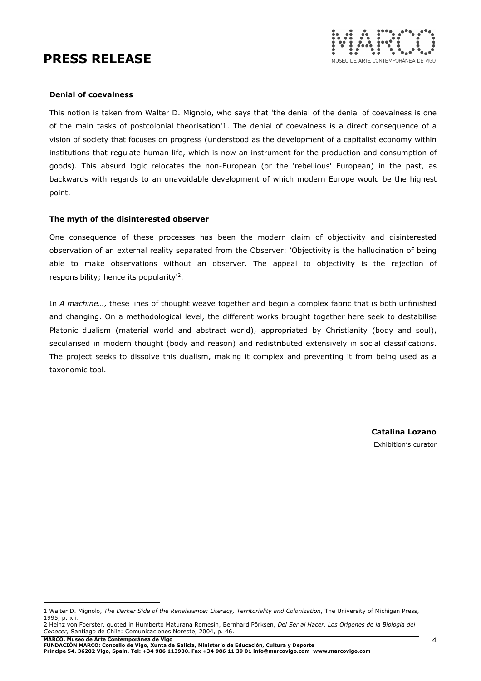

### Denial of coevalness

 $\overline{a}$ 

This notion is taken from Walter D. Mignolo, who says that 'the denial of the denial of coevalness is one of the main tasks of postcolonial theorisation'1. The denial of coevalness is a direct consequence of a vision of society that focuses on progress (understood as the development of a capitalist economy within institutions that regulate human life, which is now an instrument for the production and consumption of goods). This absurd logic relocates the non-European (or the 'rebellious' European) in the past, as backwards with regards to an unavoidable development of which modern Europe would be the highest point.

## The myth of the disinterested observer

One consequence of these processes has been the modern claim of objectivity and disinterested observation of an external reality separated from the Observer: 'Objectivity is the hallucination of being able to make observations without an observer. The appeal to objectivity is the rejection of responsibility; hence its popularity<sup>12</sup>.

In A machine..., these lines of thought weave together and begin a complex fabric that is both unfinished and changing. On a methodological level, the different works brought together here seek to destabilise Platonic dualism (material world and abstract world), appropriated by Christianity (body and soul), secularised in modern thought (body and reason) and redistributed extensively in social classifications. The project seeks to dissolve this dualism, making it complex and preventing it from being used as a taxonomic tool.

> Catalina Lozano Exhibition's curator

<sup>1</sup> Walter D. Mignolo, The Darker Side of the Renaissance: Literacy, Territoriality and Colonization, The University of Michigan Press, 1995, p. xii.

<sup>2</sup> Heinz von Foerster, quoted in Humberto Maturana Romesín, Bernhard Pörksen, Del Ser al Hacer. Los Orígenes de la Biología del Conocer, Santiago de Chile: Comunicaciones Noreste, 2004, p. 46.

MARCO, Museo de Arte Contemporánea de Vigo<br>FUNDACIÓN MARCO: Concello de Vigo, Xunta de Galicia, Ministerio de Educación, Cultura y Deporte<br>Príncipe 54. 36202 Vigo, Spain. Tel: +34 986 113900. Fax +34 986 11 39 01 info@marc